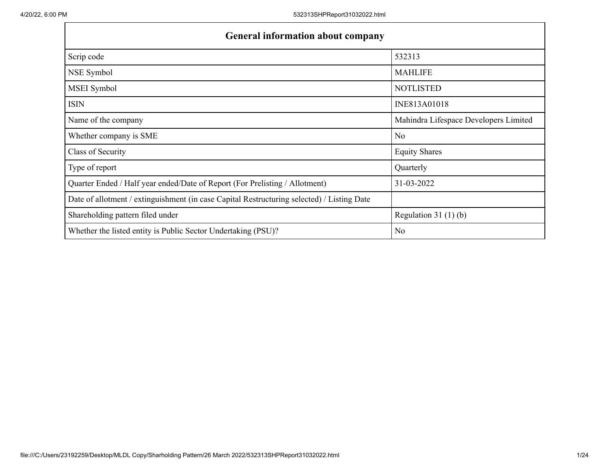| <b>General information about company</b>                                                   |                                       |  |  |  |  |  |  |  |
|--------------------------------------------------------------------------------------------|---------------------------------------|--|--|--|--|--|--|--|
| Scrip code                                                                                 | 532313                                |  |  |  |  |  |  |  |
| NSE Symbol                                                                                 | <b>MAHLIFE</b>                        |  |  |  |  |  |  |  |
| MSEI Symbol                                                                                | <b>NOTLISTED</b>                      |  |  |  |  |  |  |  |
| <b>ISIN</b>                                                                                | INE813A01018                          |  |  |  |  |  |  |  |
| Name of the company                                                                        | Mahindra Lifespace Developers Limited |  |  |  |  |  |  |  |
| Whether company is SME                                                                     | No                                    |  |  |  |  |  |  |  |
| Class of Security                                                                          | <b>Equity Shares</b>                  |  |  |  |  |  |  |  |
| Type of report                                                                             | Quarterly                             |  |  |  |  |  |  |  |
| Quarter Ended / Half year ended/Date of Report (For Prelisting / Allotment)                | 31-03-2022                            |  |  |  |  |  |  |  |
| Date of allotment / extinguishment (in case Capital Restructuring selected) / Listing Date |                                       |  |  |  |  |  |  |  |
| Shareholding pattern filed under                                                           | Regulation $31(1)(b)$                 |  |  |  |  |  |  |  |
| Whether the listed entity is Public Sector Undertaking (PSU)?                              | No                                    |  |  |  |  |  |  |  |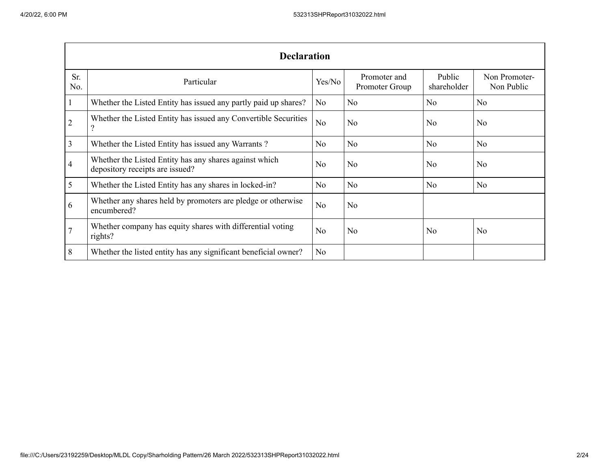|                | <b>Declaration</b>                                                                        |                |                                |                       |                             |  |  |  |  |  |
|----------------|-------------------------------------------------------------------------------------------|----------------|--------------------------------|-----------------------|-----------------------------|--|--|--|--|--|
| Sr.<br>No.     | Particular                                                                                | Yes/No         | Promoter and<br>Promoter Group | Public<br>shareholder | Non Promoter-<br>Non Public |  |  |  |  |  |
|                | Whether the Listed Entity has issued any partly paid up shares?                           | N <sub>0</sub> | N <sub>o</sub>                 | N <sub>o</sub>        | N <sub>o</sub>              |  |  |  |  |  |
| $\overline{2}$ | Whether the Listed Entity has issued any Convertible Securities<br>$\ddot{?}$             | N <sub>o</sub> | N <sub>o</sub>                 | N <sub>o</sub>        | N <sub>o</sub>              |  |  |  |  |  |
| 3              | Whether the Listed Entity has issued any Warrants?                                        | N <sub>o</sub> | N <sub>o</sub>                 | N <sub>o</sub>        | N <sub>o</sub>              |  |  |  |  |  |
| 4              | Whether the Listed Entity has any shares against which<br>depository receipts are issued? | No             | N <sub>o</sub>                 | N <sub>o</sub>        | N <sub>o</sub>              |  |  |  |  |  |
| 5              | Whether the Listed Entity has any shares in locked-in?                                    | N <sub>o</sub> | N <sub>o</sub>                 | N <sub>o</sub>        | N <sub>o</sub>              |  |  |  |  |  |
| 6              | Whether any shares held by promoters are pledge or otherwise<br>encumbered?               | N <sub>o</sub> | N <sub>o</sub>                 |                       |                             |  |  |  |  |  |
|                | Whether company has equity shares with differential voting<br>rights?                     | No             | N <sub>o</sub>                 | N <sub>o</sub>        | N <sub>o</sub>              |  |  |  |  |  |
| 8              | Whether the listed entity has any significant beneficial owner?                           | N <sub>o</sub> |                                |                       |                             |  |  |  |  |  |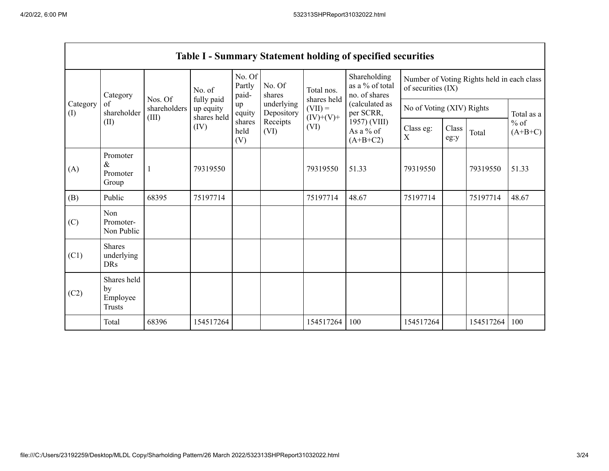|                       | <b>Table I - Summary Statement holding of specified securities</b> |                         |                                        |                           |                          |                           |                                                  |                                                                  |               |           |                     |  |
|-----------------------|--------------------------------------------------------------------|-------------------------|----------------------------------------|---------------------------|--------------------------|---------------------------|--------------------------------------------------|------------------------------------------------------------------|---------------|-----------|---------------------|--|
|                       | Category<br>of<br>shareholder                                      |                         | No. of                                 | No. Of<br>Partly<br>paid- | No. Of<br>shares         | Total nos.<br>shares held | Shareholding<br>as a % of total<br>no. of shares | Number of Voting Rights held in each class<br>of securities (IX) |               |           |                     |  |
| Category<br>$($ I $)$ |                                                                    | Nos. Of<br>shareholders | fully paid<br>up equity<br>shares held | up<br>equity              | underlying<br>Depository | $(VII) =$                 | (calculated as<br>per SCRR,                      | No of Voting (XIV) Rights                                        |               |           | Total as a          |  |
| (II)                  |                                                                    | (III)                   | (IV)                                   | shares<br>held<br>(V)     | Receipts<br>(VI)         | $(IV)+(V)+$<br>(VI)       | 1957) (VIII)<br>As a % of<br>$(A+B+C2)$          | Class eg:<br>$\boldsymbol{X}$                                    | Class<br>eg:y | Total     | $%$ of<br>$(A+B+C)$ |  |
| (A)                   | Promoter<br>$\&$<br>Promoter<br>Group                              |                         | 79319550                               |                           |                          | 79319550                  | 51.33                                            | 79319550                                                         |               | 79319550  | 51.33               |  |
| (B)                   | Public                                                             | 68395                   | 75197714                               |                           |                          | 75197714                  | 48.67                                            | 75197714                                                         |               | 75197714  | 48.67               |  |
| (C)                   | Non<br>Promoter-<br>Non Public                                     |                         |                                        |                           |                          |                           |                                                  |                                                                  |               |           |                     |  |
| (C1)                  | Shares<br>underlying<br><b>DRs</b>                                 |                         |                                        |                           |                          |                           |                                                  |                                                                  |               |           |                     |  |
| (C2)                  | Shares held<br>by<br>Employee<br><b>Trusts</b>                     |                         |                                        |                           |                          |                           |                                                  |                                                                  |               |           |                     |  |
|                       | Total                                                              | 68396                   | 154517264                              |                           |                          | 154517264                 | 100                                              | 154517264                                                        |               | 154517264 | 100                 |  |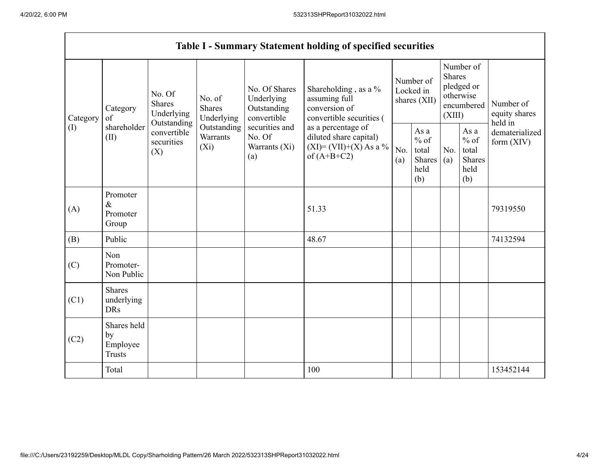H

| <b>Table I - Summary Statement holding of specified securities</b> |                                                |                                                                                          |                                                                             |                                                                                                               |                                                                                                                                                                                  |                                        |                                                         |                                                                               |                                                  |                                       |
|--------------------------------------------------------------------|------------------------------------------------|------------------------------------------------------------------------------------------|-----------------------------------------------------------------------------|---------------------------------------------------------------------------------------------------------------|----------------------------------------------------------------------------------------------------------------------------------------------------------------------------------|----------------------------------------|---------------------------------------------------------|-------------------------------------------------------------------------------|--------------------------------------------------|---------------------------------------|
| Category<br>(I)                                                    | Category<br>of<br>shareholder<br>(II)          | No. Of<br><b>Shares</b><br>Underlying<br>Outstanding<br>convertible<br>securities<br>(X) | No. of<br><b>Shares</b><br>Underlying<br>Outstanding<br>Warrants<br>$(X_i)$ | No. Of Shares<br>Underlying<br>Outstanding<br>convertible<br>securities and<br>No. Of<br>Warrants (Xi)<br>(a) | Shareholding, as a %<br>assuming full<br>conversion of<br>convertible securities (<br>as a percentage of<br>diluted share capital)<br>$(XI) = (VII)+(X) As a %$<br>of $(A+B+C2)$ | Number of<br>Locked in<br>shares (XII) |                                                         | Number of<br><b>Shares</b><br>pledged or<br>otherwise<br>encumbered<br>(XIII) |                                                  | Number of<br>equity shares<br>held in |
|                                                                    |                                                |                                                                                          |                                                                             |                                                                                                               |                                                                                                                                                                                  | No.<br>(a)                             | As a<br>$%$ of<br>total<br><b>Shares</b><br>held<br>(b) | No.<br>(a)                                                                    | As a<br>$%$ of<br>total<br>Shares<br>held<br>(b) | dematerialized<br>form $(XIV)$        |
| (A)                                                                | Promoter<br>$\&$<br>Promoter<br>Group          |                                                                                          |                                                                             |                                                                                                               | 51.33                                                                                                                                                                            |                                        |                                                         |                                                                               |                                                  | 79319550                              |
| (B)                                                                | Public                                         |                                                                                          |                                                                             |                                                                                                               | 48.67                                                                                                                                                                            |                                        |                                                         |                                                                               |                                                  | 74132594                              |
| (C)                                                                | Non<br>Promoter-<br>Non Public                 |                                                                                          |                                                                             |                                                                                                               |                                                                                                                                                                                  |                                        |                                                         |                                                                               |                                                  |                                       |
| (C1)                                                               | <b>Shares</b><br>underlying<br><b>DRs</b>      |                                                                                          |                                                                             |                                                                                                               |                                                                                                                                                                                  |                                        |                                                         |                                                                               |                                                  |                                       |
| (C2)                                                               | Shares held<br>by<br>Employee<br><b>Trusts</b> |                                                                                          |                                                                             |                                                                                                               |                                                                                                                                                                                  |                                        |                                                         |                                                                               |                                                  |                                       |
|                                                                    | Total                                          |                                                                                          |                                                                             |                                                                                                               | 100                                                                                                                                                                              |                                        |                                                         |                                                                               |                                                  | 153452144                             |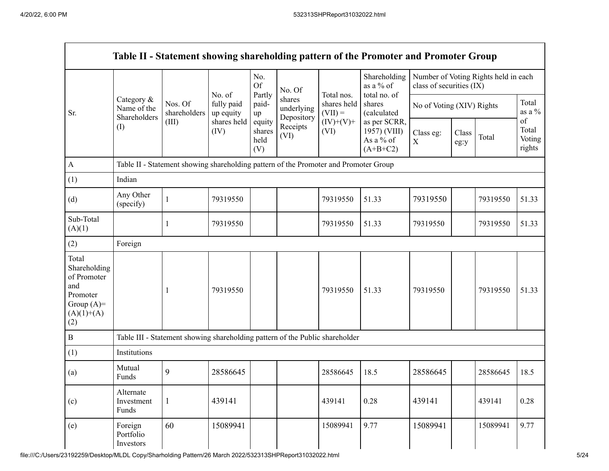Н

|                                                                                                | Category &<br>Name of the<br>Shareholders<br>$($ $\Gamma$ |                                                                                      | No. of<br>fully paid<br>up equity | No.<br><b>Of</b>                | No. Of<br>shares<br>underlying<br>Depository<br>Receipts<br>(VI) | Total nos.<br>shares held<br>$(VII) =$<br>$(IV)+(V)+$<br>(VI) | Shareholding<br>as a % of<br>total no. of               | class of securities (IX)  |               | Number of Voting Rights held in each |                                 |
|------------------------------------------------------------------------------------------------|-----------------------------------------------------------|--------------------------------------------------------------------------------------|-----------------------------------|---------------------------------|------------------------------------------------------------------|---------------------------------------------------------------|---------------------------------------------------------|---------------------------|---------------|--------------------------------------|---------------------------------|
| Sr.                                                                                            |                                                           | Nos. Of<br>shareholders                                                              |                                   | Partly<br>paid-<br>up           |                                                                  |                                                               | shares<br>(calculated                                   | No of Voting (XIV) Rights |               |                                      | Total<br>as a $\%$              |
|                                                                                                |                                                           | (III)                                                                                | shares held<br>(IV)               | equity<br>shares<br>held<br>(V) |                                                                  |                                                               | as per SCRR,<br>1957) (VIII)<br>As a % of<br>$(A+B+C2)$ | Class eg:<br>$\mathbf X$  | Class<br>eg:y | Total                                | of<br>Total<br>Voting<br>rights |
| $\mathbf{A}$                                                                                   |                                                           | Table II - Statement showing shareholding pattern of the Promoter and Promoter Group |                                   |                                 |                                                                  |                                                               |                                                         |                           |               |                                      |                                 |
| (1)                                                                                            | Indian                                                    |                                                                                      |                                   |                                 |                                                                  |                                                               |                                                         |                           |               |                                      |                                 |
| (d)                                                                                            | Any Other<br>(specify)                                    |                                                                                      | 79319550                          |                                 |                                                                  | 79319550                                                      | 51.33                                                   | 79319550                  |               | 79319550                             | 51.33                           |
| Sub-Total<br>(A)(1)                                                                            |                                                           |                                                                                      | 79319550                          |                                 |                                                                  | 79319550                                                      | 51.33                                                   | 79319550                  |               | 79319550                             | 51.33                           |
| (2)                                                                                            | Foreign                                                   |                                                                                      |                                   |                                 |                                                                  |                                                               |                                                         |                           |               |                                      |                                 |
| Total<br>Shareholding<br>of Promoter<br>and<br>Promoter<br>Group $(A)=$<br>$(A)(1)+(A)$<br>(2) |                                                           |                                                                                      | 79319550                          |                                 |                                                                  | 79319550                                                      | 51.33                                                   | 79319550                  |               | 79319550                             | 51.33                           |
| $\bf{B}$                                                                                       |                                                           | Table III - Statement showing shareholding pattern of the Public shareholder         |                                   |                                 |                                                                  |                                                               |                                                         |                           |               |                                      |                                 |
| (1)                                                                                            | Institutions                                              |                                                                                      |                                   |                                 |                                                                  |                                                               |                                                         |                           |               |                                      |                                 |
| (a)                                                                                            | Mutual<br>Funds                                           | 9                                                                                    | 28586645                          |                                 |                                                                  | 28586645                                                      | 18.5                                                    | 28586645                  |               | 28586645                             | 18.5                            |
| (c)                                                                                            | Alternate<br>Investment<br>Funds                          | 1                                                                                    | 439141                            |                                 |                                                                  | 439141                                                        | 0.28                                                    | 439141                    |               | 439141                               | 0.28                            |
| (e)                                                                                            | Foreign<br>Portfolio<br>Investors                         | 60                                                                                   | 15089941                          |                                 |                                                                  | 15089941                                                      | 9.77                                                    | 15089941                  |               | 15089941                             | 9.77                            |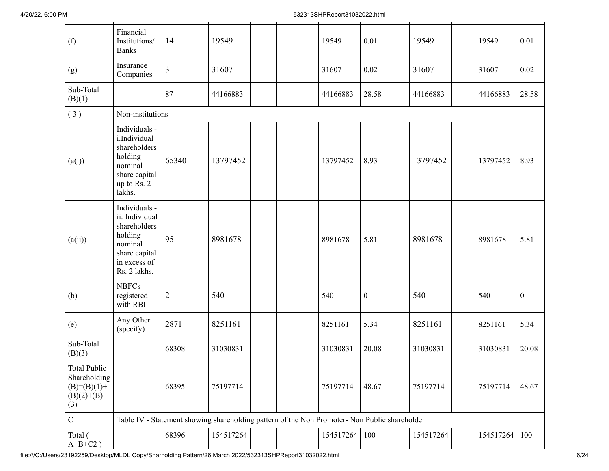| (f)                                                                           | Financial<br>Institutions/<br><b>Banks</b>                                                                             | 14             | 19549     |                                                                                               | 19549     | 0.01             | 19549     | 19549     | 0.01             |
|-------------------------------------------------------------------------------|------------------------------------------------------------------------------------------------------------------------|----------------|-----------|-----------------------------------------------------------------------------------------------|-----------|------------------|-----------|-----------|------------------|
| (g)                                                                           | Insurance<br>Companies                                                                                                 | $\overline{3}$ | 31607     |                                                                                               | 31607     | 0.02             | 31607     | 31607     | 0.02             |
| Sub-Total<br>(B)(1)                                                           |                                                                                                                        | 87             | 44166883  |                                                                                               | 44166883  | 28.58            | 44166883  | 44166883  | 28.58            |
| (3)                                                                           | Non-institutions                                                                                                       |                |           |                                                                                               |           |                  |           |           |                  |
| (a(i))                                                                        | Individuals -<br>i.Individual<br>shareholders<br>holding<br>nominal<br>share capital<br>up to Rs. 2<br>lakhs.          | 65340          | 13797452  |                                                                                               | 13797452  | 8.93             | 13797452  | 13797452  | 8.93             |
| (a(ii))                                                                       | Individuals -<br>ii. Individual<br>shareholders<br>holding<br>nominal<br>share capital<br>in excess of<br>Rs. 2 lakhs. | 95             | 8981678   |                                                                                               | 8981678   | 5.81             | 8981678   | 8981678   | 5.81             |
| (b)                                                                           | <b>NBFCs</b><br>registered<br>with RBI                                                                                 | $\sqrt{2}$     | 540       |                                                                                               | 540       | $\boldsymbol{0}$ | 540       | 540       | $\boldsymbol{0}$ |
| (e)                                                                           | Any Other<br>(specify)                                                                                                 | 2871           | 8251161   |                                                                                               | 8251161   | 5.34             | 8251161   | 8251161   | 5.34             |
| Sub-Total<br>(B)(3)                                                           |                                                                                                                        | 68308          | 31030831  |                                                                                               | 31030831  | 20.08            | 31030831  | 31030831  | 20.08            |
| <b>Total Public</b><br>Shareholding<br>$(B)= (B)(1) +$<br>$(B)(2)+(B)$<br>(3) |                                                                                                                        | 68395          | 75197714  |                                                                                               | 75197714  | 48.67            | 75197714  | 75197714  | 48.67            |
| $\mathbf C$                                                                   |                                                                                                                        |                |           | Table IV - Statement showing shareholding pattern of the Non Promoter- Non Public shareholder |           |                  |           |           |                  |
| Total (<br>$A+B+C2$ )                                                         |                                                                                                                        | 68396          | 154517264 |                                                                                               | 154517264 | 100              | 154517264 | 154517264 | 100              |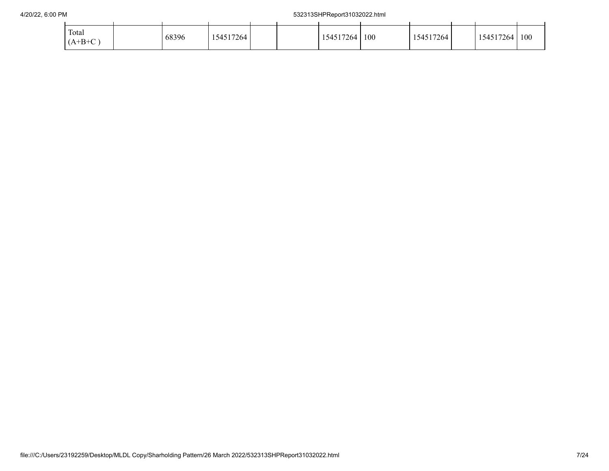| Total<br>$(A+B+C)$ | 68396 | 154517264 |  | 154517264 | 100 | 154517264 | 154517264 | 100 |
|--------------------|-------|-----------|--|-----------|-----|-----------|-----------|-----|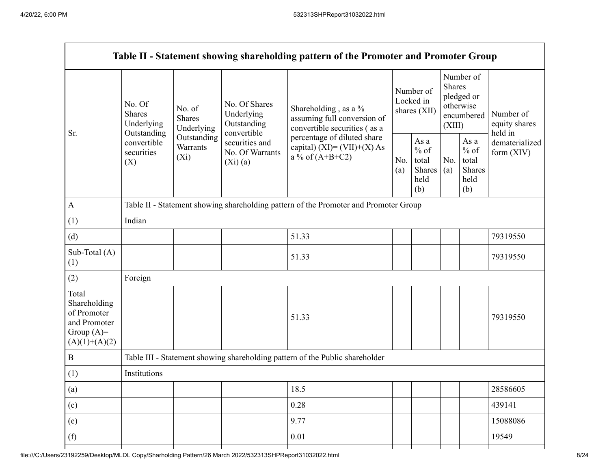|                                                                                         |                                                 |                                                                                      |                                                             | Table II - Statement showing shareholding pattern of the Promoter and Promoter Group                                                                                      |  |                                                  |            |                                                                        |                                       |  |  |  |
|-----------------------------------------------------------------------------------------|-------------------------------------------------|--------------------------------------------------------------------------------------|-------------------------------------------------------------|---------------------------------------------------------------------------------------------------------------------------------------------------------------------------|--|--------------------------------------------------|------------|------------------------------------------------------------------------|---------------------------------------|--|--|--|
| Sr.                                                                                     | No. Of<br><b>Shares</b><br>Underlying           | No. of<br><b>Shares</b><br>Underlying                                                | No. Of Shares<br>Underlying<br>Outstanding                  | Shareholding, as a %<br>assuming full conversion of<br>convertible securities (as a<br>percentage of diluted share<br>capital) $(XI) = (VII)+(X) As$<br>a % of $(A+B+C2)$ |  | Number of<br>Locked in<br>shares (XII)           |            | Number of<br>Shares<br>pledged or<br>otherwise<br>encumbered<br>(XIII) | Number of<br>equity shares<br>held in |  |  |  |
|                                                                                         | Outstanding<br>convertible<br>securities<br>(X) | Outstanding<br>Warrants<br>$(X_i)$                                                   | convertible<br>securities and<br>No. Of Warrants<br>(Xi)(a) |                                                                                                                                                                           |  | As a<br>$%$ of<br>total<br>Shares<br>held<br>(b) | No.<br>(a) | As a<br>$%$ of<br>total<br>Shares<br>held<br>(b)                       | dematerialized<br>form (XIV)          |  |  |  |
| A                                                                                       |                                                 | Table II - Statement showing shareholding pattern of the Promoter and Promoter Group |                                                             |                                                                                                                                                                           |  |                                                  |            |                                                                        |                                       |  |  |  |
| (1)                                                                                     | Indian                                          |                                                                                      |                                                             |                                                                                                                                                                           |  |                                                  |            |                                                                        |                                       |  |  |  |
| (d)                                                                                     |                                                 |                                                                                      |                                                             | 51.33                                                                                                                                                                     |  |                                                  |            |                                                                        | 79319550                              |  |  |  |
| Sub-Total (A)<br>(1)                                                                    |                                                 |                                                                                      |                                                             | 51.33                                                                                                                                                                     |  |                                                  |            |                                                                        | 79319550                              |  |  |  |
| (2)                                                                                     | Foreign                                         |                                                                                      |                                                             |                                                                                                                                                                           |  |                                                  |            |                                                                        |                                       |  |  |  |
| Total<br>Shareholding<br>of Promoter<br>and Promoter<br>Group $(A)=$<br>$(A)(1)+(A)(2)$ |                                                 |                                                                                      |                                                             | 51.33                                                                                                                                                                     |  |                                                  |            |                                                                        | 79319550                              |  |  |  |
| B                                                                                       |                                                 |                                                                                      |                                                             | Table III - Statement showing shareholding pattern of the Public shareholder                                                                                              |  |                                                  |            |                                                                        |                                       |  |  |  |
| (1)                                                                                     | Institutions                                    |                                                                                      |                                                             |                                                                                                                                                                           |  |                                                  |            |                                                                        |                                       |  |  |  |
| (a)                                                                                     |                                                 |                                                                                      |                                                             | 18.5                                                                                                                                                                      |  |                                                  |            |                                                                        | 28586605                              |  |  |  |
| (c)                                                                                     |                                                 |                                                                                      |                                                             | 0.28                                                                                                                                                                      |  |                                                  |            |                                                                        | 439141                                |  |  |  |
| (e)                                                                                     |                                                 |                                                                                      |                                                             | 9.77                                                                                                                                                                      |  |                                                  |            |                                                                        | 15088086                              |  |  |  |
| (f)                                                                                     |                                                 |                                                                                      |                                                             | 0.01                                                                                                                                                                      |  |                                                  |            |                                                                        | 19549                                 |  |  |  |
|                                                                                         |                                                 |                                                                                      |                                                             |                                                                                                                                                                           |  |                                                  |            |                                                                        |                                       |  |  |  |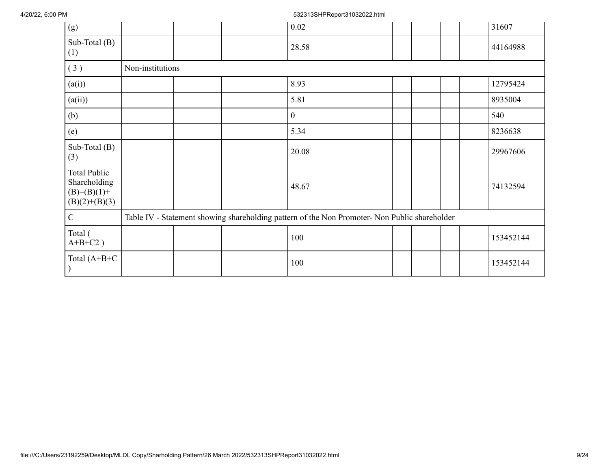## 4/20/22, 6:00 PM 532313SHPReport31032022.html

| (g)                                                                     |                  | 0.02                                                                                          | 31607     |
|-------------------------------------------------------------------------|------------------|-----------------------------------------------------------------------------------------------|-----------|
| Sub-Total (B)<br>(1)                                                    |                  | 28.58                                                                                         | 44164988  |
| (3)                                                                     | Non-institutions |                                                                                               |           |
| (a(i))                                                                  |                  | 8.93                                                                                          | 12795424  |
| (a(ii))                                                                 |                  | 5.81                                                                                          | 8935004   |
| (b)                                                                     |                  | $\mathbf{0}$                                                                                  | 540       |
| (e)                                                                     |                  | 5.34                                                                                          | 8236638   |
| Sub-Total (B)<br>(3)                                                    |                  | 20.08                                                                                         | 29967606  |
| <b>Total Public</b><br>Shareholding<br>$(B)=(B)(1)+$<br>$(B)(2)+(B)(3)$ |                  | 48.67                                                                                         | 74132594  |
| $\mathbf C$                                                             |                  | Table IV - Statement showing shareholding pattern of the Non Promoter- Non Public shareholder |           |
| Total (<br>$A+B+C2$ )                                                   |                  | 100                                                                                           | 153452144 |
| Total $(A+B+C$                                                          |                  | 100                                                                                           | 153452144 |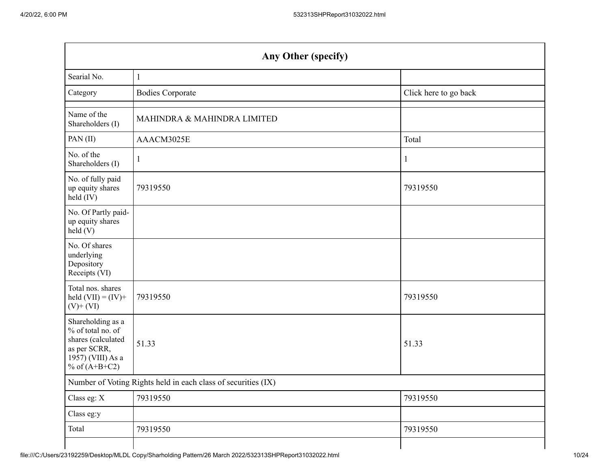| Any Other (specify)                                                                                                  |                                                               |                       |  |  |  |  |  |  |
|----------------------------------------------------------------------------------------------------------------------|---------------------------------------------------------------|-----------------------|--|--|--|--|--|--|
| Searial No.                                                                                                          | $\mathbf{1}$                                                  |                       |  |  |  |  |  |  |
| Category                                                                                                             | <b>Bodies Corporate</b>                                       | Click here to go back |  |  |  |  |  |  |
| Name of the<br>Shareholders (I)                                                                                      | MAHINDRA & MAHINDRA LIMITED                                   |                       |  |  |  |  |  |  |
| PAN(II)                                                                                                              | AAACM3025E                                                    | Total                 |  |  |  |  |  |  |
| No. of the<br>Shareholders (I)                                                                                       | 1                                                             |                       |  |  |  |  |  |  |
| No. of fully paid<br>up equity shares<br>held (IV)                                                                   | 79319550                                                      | 79319550              |  |  |  |  |  |  |
| No. Of Partly paid-<br>up equity shares<br>held(V)                                                                   |                                                               |                       |  |  |  |  |  |  |
| No. Of shares<br>underlying<br>Depository<br>Receipts (VI)                                                           |                                                               |                       |  |  |  |  |  |  |
| Total nos. shares<br>held $(VII) = (IV) +$<br>$(V)$ + $(VI)$                                                         | 79319550                                                      | 79319550              |  |  |  |  |  |  |
| Shareholding as a<br>% of total no. of<br>shares (calculated<br>as per SCRR,<br>1957) (VIII) As a<br>% of $(A+B+C2)$ | 51.33                                                         | 51.33                 |  |  |  |  |  |  |
|                                                                                                                      | Number of Voting Rights held in each class of securities (IX) |                       |  |  |  |  |  |  |
| Class eg: X                                                                                                          | 79319550                                                      | 79319550              |  |  |  |  |  |  |
| Class eg:y                                                                                                           |                                                               |                       |  |  |  |  |  |  |
| Total                                                                                                                | 79319550                                                      | 79319550              |  |  |  |  |  |  |
|                                                                                                                      |                                                               |                       |  |  |  |  |  |  |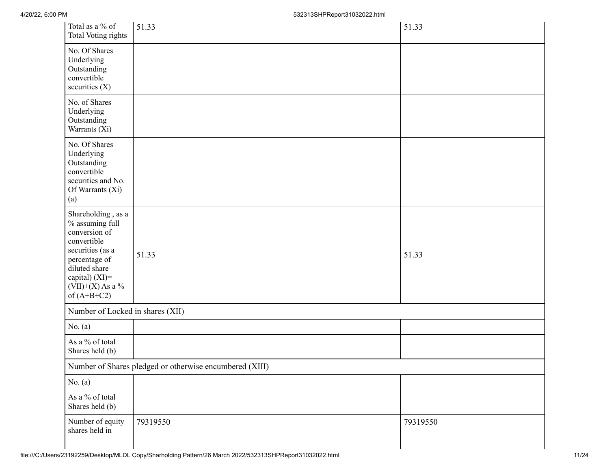| Total as a % of<br>Total Voting rights                                                                                                                                               | 51.33                                                   | 51.33    |
|--------------------------------------------------------------------------------------------------------------------------------------------------------------------------------------|---------------------------------------------------------|----------|
| No. Of Shares<br>Underlying<br>Outstanding<br>convertible<br>securities $(X)$                                                                                                        |                                                         |          |
| No. of Shares<br>Underlying<br>Outstanding<br>Warrants (Xi)                                                                                                                          |                                                         |          |
| No. Of Shares<br>Underlying<br>Outstanding<br>convertible<br>securities and No.<br>Of Warrants (Xi)<br>(a)                                                                           |                                                         |          |
| Shareholding, as a<br>% assuming full<br>conversion of<br>convertible<br>securities (as a<br>percentage of<br>diluted share<br>capital) (XI)=<br>$(VII)+(X)$ As a %<br>of $(A+B+C2)$ | 51.33                                                   | 51.33    |
| Number of Locked in shares (XII)                                                                                                                                                     |                                                         |          |
| No. $(a)$                                                                                                                                                                            |                                                         |          |
| As a % of total<br>Shares held (b)                                                                                                                                                   |                                                         |          |
|                                                                                                                                                                                      | Number of Shares pledged or otherwise encumbered (XIII) |          |
| No. $(a)$                                                                                                                                                                            |                                                         |          |
| As a $\%$ of total<br>Shares held (b)                                                                                                                                                |                                                         |          |
| Number of equity<br>shares held in                                                                                                                                                   | 79319550                                                | 79319550 |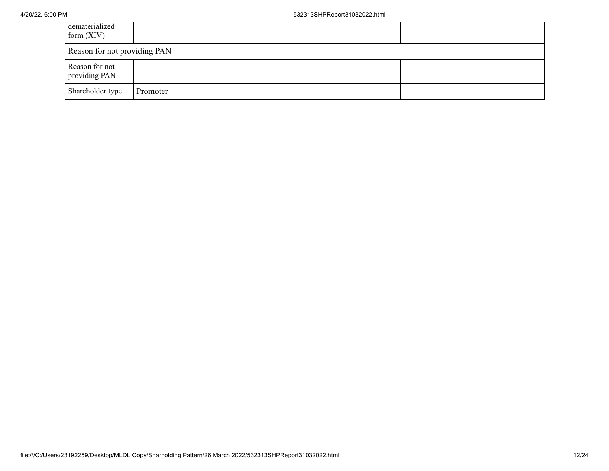| dematerialized<br>form $(XIV)$  |          |  |  |  |  |  |  |
|---------------------------------|----------|--|--|--|--|--|--|
| Reason for not providing PAN    |          |  |  |  |  |  |  |
| Reason for not<br>providing PAN |          |  |  |  |  |  |  |
| Shareholder type                | Promoter |  |  |  |  |  |  |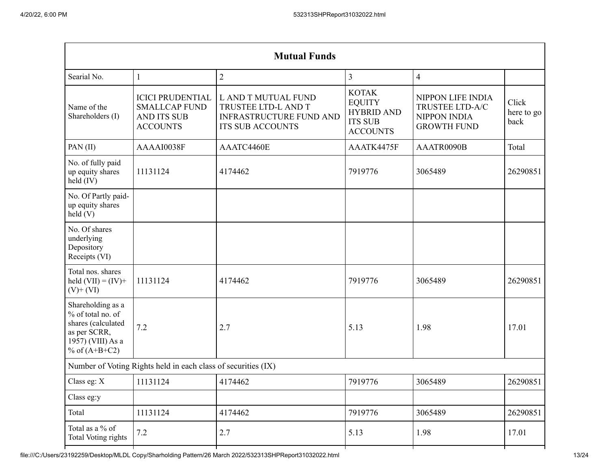| <b>Mutual Funds</b>                                                                                                         |              |                                                                                                         |                                                                                         |                                                                                   |                             |  |
|-----------------------------------------------------------------------------------------------------------------------------|--------------|---------------------------------------------------------------------------------------------------------|-----------------------------------------------------------------------------------------|-----------------------------------------------------------------------------------|-----------------------------|--|
| Searial No.                                                                                                                 | $\mathbf{1}$ | $\overline{2}$                                                                                          | $\overline{3}$                                                                          | $\overline{4}$                                                                    |                             |  |
| <b>ICICI PRUDENTIAL</b><br><b>SMALLCAP FUND</b><br>Name of the<br>Shareholders (I)<br><b>AND ITS SUB</b><br><b>ACCOUNTS</b> |              | L AND T MUTUAL FUND<br>TRUSTEE LTD-L AND T<br><b>INFRASTRUCTURE FUND AND</b><br><b>ITS SUB ACCOUNTS</b> | <b>KOTAK</b><br><b>EQUITY</b><br><b>HYBRID AND</b><br><b>ITS SUB</b><br><b>ACCOUNTS</b> | NIPPON LIFE INDIA<br>TRUSTEE LTD-A/C<br><b>NIPPON INDIA</b><br><b>GROWTH FUND</b> | Click<br>here to go<br>back |  |
| PAN(II)                                                                                                                     | AAAAI0038F   | AAATC4460E                                                                                              | AAATK4475F                                                                              | AAATR0090B                                                                        | Total                       |  |
| No. of fully paid<br>up equity shares<br>held $(IV)$                                                                        | 11131124     | 4174462                                                                                                 | 7919776                                                                                 | 3065489                                                                           | 26290851                    |  |
| No. Of Partly paid-<br>up equity shares<br>held(V)                                                                          |              |                                                                                                         |                                                                                         |                                                                                   |                             |  |
| No. Of shares<br>underlying<br>Depository<br>Receipts (VI)                                                                  |              |                                                                                                         |                                                                                         |                                                                                   |                             |  |
| Total nos. shares<br>held $(VII) = (IV) +$<br>11131124<br>$(V)$ + $(VI)$                                                    |              | 4174462                                                                                                 | 7919776                                                                                 | 3065489                                                                           | 26290851                    |  |
| Shareholding as a<br>% of total no. of<br>shares (calculated<br>7.2<br>as per SCRR,<br>1957) (VIII) As a<br>% of $(A+B+C2)$ |              | 2.7                                                                                                     | 5.13                                                                                    | 1.98                                                                              | 17.01                       |  |
| Number of Voting Rights held in each class of securities (IX)                                                               |              |                                                                                                         |                                                                                         |                                                                                   |                             |  |
| Class eg: X                                                                                                                 | 11131124     | 4174462                                                                                                 | 7919776                                                                                 | 3065489                                                                           | 26290851                    |  |
| Class eg:y                                                                                                                  |              |                                                                                                         |                                                                                         |                                                                                   |                             |  |
| Total                                                                                                                       | 11131124     | 4174462                                                                                                 | 7919776                                                                                 | 3065489                                                                           | 26290851                    |  |
| Total as a % of<br>Total Voting rights                                                                                      | 7.2          | 2.7                                                                                                     | 5.13                                                                                    | 1.98                                                                              | 17.01                       |  |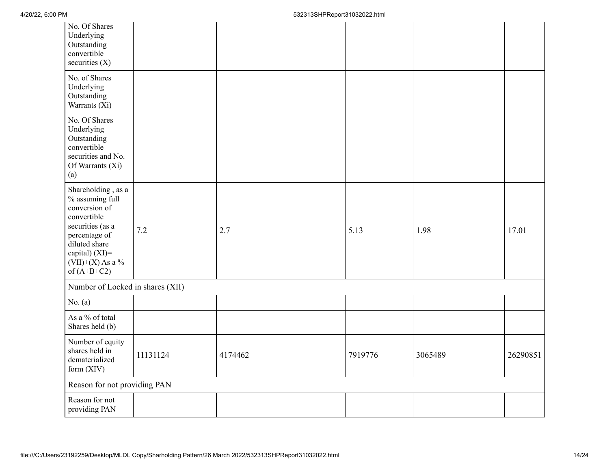| No. Of Shares<br>Underlying<br>Outstanding<br>convertible<br>securities $(X)$                                                                                                         |          |         |         |         |          |
|---------------------------------------------------------------------------------------------------------------------------------------------------------------------------------------|----------|---------|---------|---------|----------|
| No. of Shares<br>Underlying<br>Outstanding<br>Warrants $(X_i)$                                                                                                                        |          |         |         |         |          |
| No. Of Shares<br>Underlying<br>Outstanding<br>convertible<br>securities and No.<br>Of Warrants (Xi)<br>(a)                                                                            |          |         |         |         |          |
| Shareholding, as a<br>% assuming full<br>conversion of<br>convertible<br>securities (as a<br>percentage of<br>diluted share<br>capital) (XI)=<br>(VII)+(X) As a $\%$<br>of $(A+B+C2)$ | 7.2      | 2.7     | 5.13    | 1.98    | 17.01    |
| Number of Locked in shares (XII)                                                                                                                                                      |          |         |         |         |          |
| No. $(a)$                                                                                                                                                                             |          |         |         |         |          |
| As a % of total<br>Shares held (b)                                                                                                                                                    |          |         |         |         |          |
| Number of equity<br>shares held in<br>dematerialized<br>form (XIV)                                                                                                                    | 11131124 | 4174462 | 7919776 | 3065489 | 26290851 |
| Reason for not providing PAN                                                                                                                                                          |          |         |         |         |          |
| Reason for not<br>providing PAN                                                                                                                                                       |          |         |         |         |          |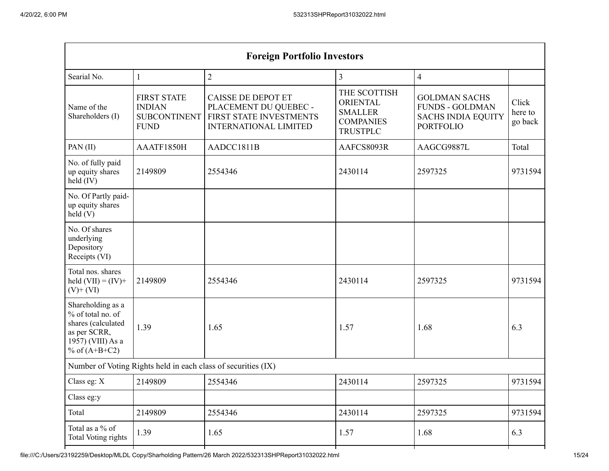| <b>Foreign Portfolio Investors</b>                                                                                           |              |                                                                                                                                                                                                           |              |                                                                                                 |                             |  |
|------------------------------------------------------------------------------------------------------------------------------|--------------|-----------------------------------------------------------------------------------------------------------------------------------------------------------------------------------------------------------|--------------|-------------------------------------------------------------------------------------------------|-----------------------------|--|
| Searial No.                                                                                                                  | $\mathbf{1}$ | $\overline{2}$                                                                                                                                                                                            | 3            | $\overline{\mathcal{A}}$                                                                        |                             |  |
| <b>FIRST STATE</b><br>Name of the<br><b>INDIAN</b><br>Shareholders (I)<br><b>SUBCONTINENT</b><br><b>FUND</b>                 |              | THE SCOTTISH<br><b>CAISSE DE DEPOT ET</b><br><b>ORIENTAL</b><br>PLACEMENT DU QUEBEC -<br><b>SMALLER</b><br>FIRST STATE INVESTMENTS<br><b>COMPANIES</b><br><b>INTERNATIONAL LIMITED</b><br><b>TRUSTPLC</b> |              | <b>GOLDMAN SACHS</b><br><b>FUNDS - GOLDMAN</b><br><b>SACHS INDIA EQUITY</b><br><b>PORTFOLIO</b> | Click<br>here to<br>go back |  |
| PAN(II)                                                                                                                      | AAATF1850H   | AADCC1811B                                                                                                                                                                                                | AAFCS8093R   |                                                                                                 | Total                       |  |
| No. of fully paid<br>2149809<br>up equity shares<br>held $(IV)$                                                              |              | 2554346                                                                                                                                                                                                   | 2430114      | 2597325                                                                                         | 9731594                     |  |
| No. Of Partly paid-<br>up equity shares<br>held(V)                                                                           |              |                                                                                                                                                                                                           |              |                                                                                                 |                             |  |
| No. Of shares<br>underlying<br>Depository<br>Receipts (VI)                                                                   |              |                                                                                                                                                                                                           |              |                                                                                                 |                             |  |
| Total nos. shares<br>held $(VII) = (IV) +$<br>2149809<br>$(V)$ + $(VI)$                                                      |              | 2554346                                                                                                                                                                                                   | 2430114      | 2597325                                                                                         | 9731594                     |  |
| Shareholding as a<br>% of total no. of<br>shares (calculated<br>1.39<br>as per SCRR,<br>1957) (VIII) As a<br>% of $(A+B+C2)$ |              | 1.65                                                                                                                                                                                                      | 1.57         | 1.68                                                                                            | 6.3                         |  |
| Number of Voting Rights held in each class of securities (IX)                                                                |              |                                                                                                                                                                                                           |              |                                                                                                 |                             |  |
| Class eg: X                                                                                                                  | 2149809      | 2554346                                                                                                                                                                                                   | 2430114      | 2597325                                                                                         | 9731594                     |  |
| Class eg:y                                                                                                                   |              |                                                                                                                                                                                                           |              |                                                                                                 |                             |  |
| Total                                                                                                                        | 2149809      | 2554346                                                                                                                                                                                                   | 2430114      | 2597325                                                                                         | 9731594                     |  |
| Total as a % of<br><b>Total Voting rights</b>                                                                                | 1.39         | 1.65                                                                                                                                                                                                      | 1.68<br>1.57 |                                                                                                 | 6.3                         |  |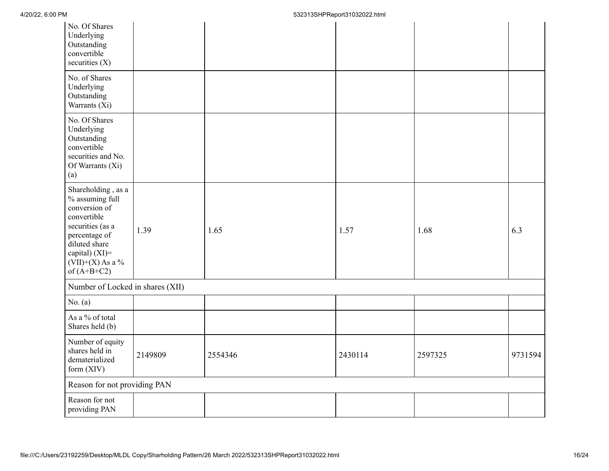| No. Of Shares<br>Underlying<br>Outstanding<br>convertible<br>securities (X)                                                                                                          |         |         |         |         |         |
|--------------------------------------------------------------------------------------------------------------------------------------------------------------------------------------|---------|---------|---------|---------|---------|
| No. of Shares<br>Underlying<br>Outstanding<br>Warrants (Xi)                                                                                                                          |         |         |         |         |         |
| No. Of Shares<br>Underlying<br>Outstanding<br>convertible<br>securities and No.<br>Of Warrants (Xi)<br>(a)                                                                           |         |         |         |         |         |
| Shareholding, as a<br>% assuming full<br>conversion of<br>convertible<br>securities (as a<br>percentage of<br>diluted share<br>capital) (XI)=<br>$(VII)+(X)$ As a %<br>of $(A+B+C2)$ | 1.39    | 1.65    | 1.57    | 1.68    | 6.3     |
| Number of Locked in shares (XII)                                                                                                                                                     |         |         |         |         |         |
| No. $(a)$                                                                                                                                                                            |         |         |         |         |         |
| As a % of total<br>Shares held (b)                                                                                                                                                   |         |         |         |         |         |
| Number of equity<br>shares held in<br>dematerialized<br>form (XIV)                                                                                                                   | 2149809 | 2554346 | 2430114 | 2597325 | 9731594 |
| Reason for not providing PAN                                                                                                                                                         |         |         |         |         |         |
| Reason for not<br>providing PAN                                                                                                                                                      |         |         |         |         |         |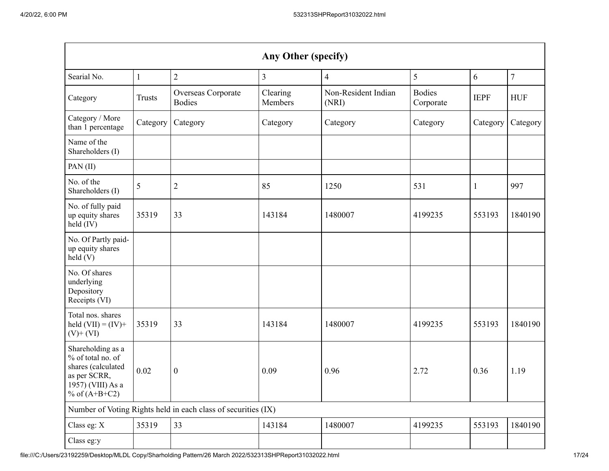| Any Other (specify)                                                                                                  |               |                                                               |                     |                              |                            |              |                |
|----------------------------------------------------------------------------------------------------------------------|---------------|---------------------------------------------------------------|---------------------|------------------------------|----------------------------|--------------|----------------|
| Searial No.                                                                                                          | 1             | $\mathbf{2}$                                                  | 3                   | $\overline{4}$               | 5                          | 6            | $\overline{7}$ |
| Category                                                                                                             | <b>Trusts</b> | Overseas Corporate<br><b>Bodies</b>                           | Clearing<br>Members | Non-Resident Indian<br>(NRI) | <b>Bodies</b><br>Corporate | <b>IEPF</b>  | <b>HUF</b>     |
| Category / More<br>than 1 percentage                                                                                 | Category      | Category                                                      | Category            | Category                     | Category                   | Category     | Category       |
| Name of the<br>Shareholders (I)                                                                                      |               |                                                               |                     |                              |                            |              |                |
| PAN(II)                                                                                                              |               |                                                               |                     |                              |                            |              |                |
| No. of the<br>Shareholders (I)                                                                                       | 5             | $\overline{2}$                                                | 85                  | 1250                         | 531                        | $\mathbf{1}$ | 997            |
| No. of fully paid<br>up equity shares<br>held (IV)                                                                   | 35319         | 33                                                            | 143184              | 1480007                      | 4199235                    | 553193       | 1840190        |
| No. Of Partly paid-<br>up equity shares<br>held (V)                                                                  |               |                                                               |                     |                              |                            |              |                |
| No. Of shares<br>underlying<br>Depository<br>Receipts (VI)                                                           |               |                                                               |                     |                              |                            |              |                |
| Total nos. shares<br>held $(VII) = (IV) +$<br>$(V)$ + $(VI)$                                                         | 35319         | 33                                                            | 143184              | 1480007                      | 4199235                    | 553193       | 1840190        |
| Shareholding as a<br>% of total no. of<br>shares (calculated<br>as per SCRR,<br>1957) (VIII) As a<br>% of $(A+B+C2)$ | 0.02          | $\boldsymbol{0}$                                              | 0.09                | 0.96                         | 2.72                       | 0.36         | 1.19           |
|                                                                                                                      |               | Number of Voting Rights held in each class of securities (IX) |                     |                              |                            |              |                |
| Class eg: X                                                                                                          | 35319         | 33                                                            | 143184              | 1480007                      | 4199235                    | 553193       | 1840190        |
| Class eg:y                                                                                                           |               |                                                               |                     |                              |                            |              |                |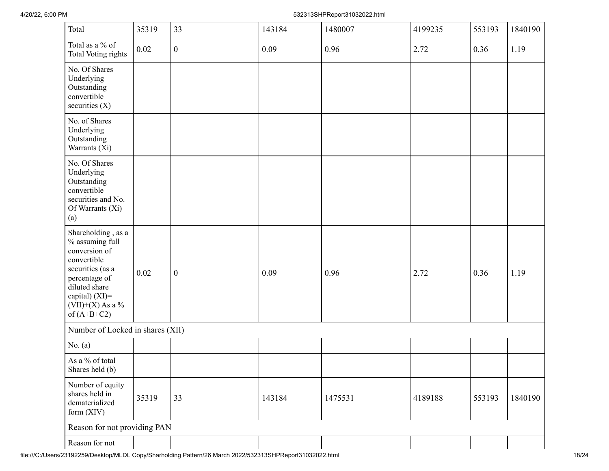## 4/20/22, 6:00 PM 532313SHPReport31032022.html

| Total                                                                                                                                                                                | 35319 | 33               | 143184 | 1480007 | 4199235 | 553193 | 1840190 |
|--------------------------------------------------------------------------------------------------------------------------------------------------------------------------------------|-------|------------------|--------|---------|---------|--------|---------|
| Total as a $\%$ of<br><b>Total Voting rights</b>                                                                                                                                     | 0.02  | $\boldsymbol{0}$ | 0.09   | 0.96    | 2.72    | 0.36   | 1.19    |
| No. Of Shares<br>Underlying<br>Outstanding<br>convertible<br>securities (X)                                                                                                          |       |                  |        |         |         |        |         |
| No. of Shares<br>Underlying<br>Outstanding<br>Warrants (Xi)                                                                                                                          |       |                  |        |         |         |        |         |
| No. Of Shares<br>Underlying<br>Outstanding<br>convertible<br>securities and No.<br>Of Warrants (Xi)<br>(a)                                                                           |       |                  |        |         |         |        |         |
| Shareholding, as a<br>% assuming full<br>conversion of<br>convertible<br>securities (as a<br>percentage of<br>diluted share<br>capital) (XI)=<br>$(VII)+(X)$ As a %<br>of $(A+B+C2)$ | 0.02  | $\boldsymbol{0}$ | 0.09   | 0.96    | 2.72    | 0.36   | 1.19    |
| Number of Locked in shares (XII)                                                                                                                                                     |       |                  |        |         |         |        |         |
| No. $(a)$                                                                                                                                                                            |       |                  |        |         |         |        |         |
| As a % of total<br>Shares held (b)                                                                                                                                                   |       |                  |        |         |         |        |         |
| Number of equity<br>shares held in<br>dematerialized<br>form $(XIV)$                                                                                                                 | 35319 | 33               | 143184 | 1475531 | 4189188 | 553193 | 1840190 |
| Reason for not providing PAN                                                                                                                                                         |       |                  |        |         |         |        |         |
| Reason for not                                                                                                                                                                       |       |                  |        |         |         |        |         |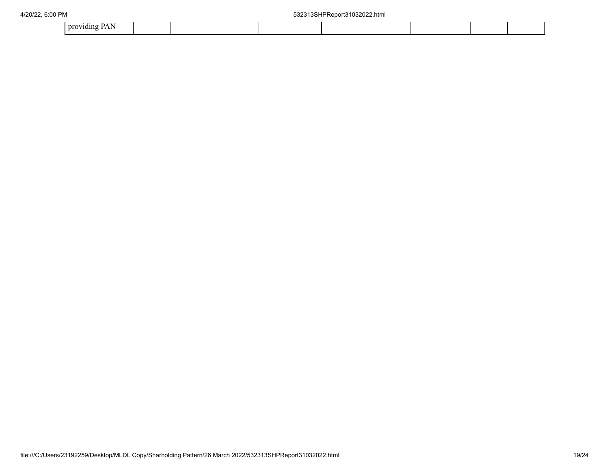| nr<br>716 |  |  |  |  |
|-----------|--|--|--|--|
|           |  |  |  |  |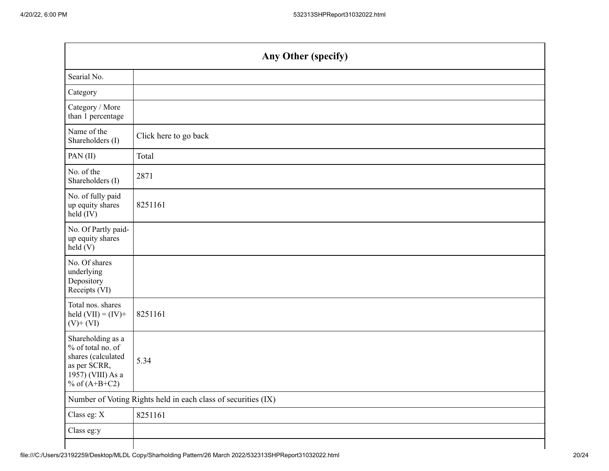| Any Other (specify)                                                                                                  |                                                               |  |  |  |  |
|----------------------------------------------------------------------------------------------------------------------|---------------------------------------------------------------|--|--|--|--|
| Searial No.                                                                                                          |                                                               |  |  |  |  |
| Category                                                                                                             |                                                               |  |  |  |  |
| Category / More<br>than 1 percentage                                                                                 |                                                               |  |  |  |  |
| Name of the<br>Shareholders (I)                                                                                      | Click here to go back                                         |  |  |  |  |
| PAN(II)                                                                                                              | Total                                                         |  |  |  |  |
| No. of the<br>Shareholders (I)                                                                                       | 2871                                                          |  |  |  |  |
| No. of fully paid<br>up equity shares<br>held (IV)                                                                   | 8251161                                                       |  |  |  |  |
| No. Of Partly paid-<br>up equity shares<br>held(V)                                                                   |                                                               |  |  |  |  |
| No. Of shares<br>underlying<br>Depository<br>Receipts (VI)                                                           |                                                               |  |  |  |  |
| Total nos. shares<br>held $(VII) = (IV) +$<br>$(V)$ + $(VI)$                                                         | 8251161                                                       |  |  |  |  |
| Shareholding as a<br>% of total no. of<br>shares (calculated<br>as per SCRR,<br>1957) (VIII) As a<br>% of $(A+B+C2)$ | 5.34                                                          |  |  |  |  |
|                                                                                                                      | Number of Voting Rights held in each class of securities (IX) |  |  |  |  |
| Class eg: X                                                                                                          | 8251161                                                       |  |  |  |  |
| Class eg:y                                                                                                           |                                                               |  |  |  |  |
|                                                                                                                      |                                                               |  |  |  |  |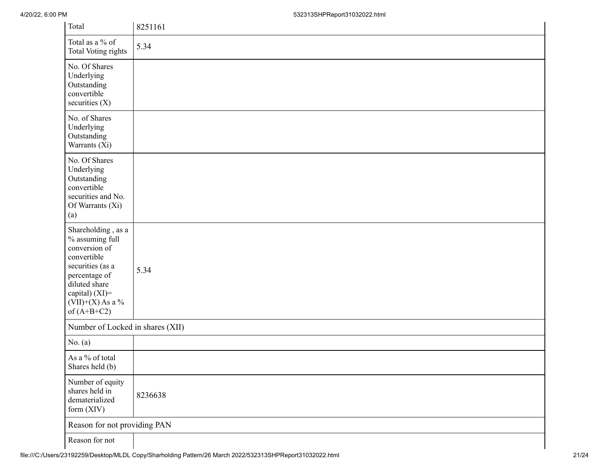4/20/22, 6:00 PM 532313SHPReport31032022.html

| Total                                                                                                                                                                                | 8251161 |  |  |  |
|--------------------------------------------------------------------------------------------------------------------------------------------------------------------------------------|---------|--|--|--|
| Total as a % of<br><b>Total Voting rights</b>                                                                                                                                        | 5.34    |  |  |  |
| No. Of Shares<br>Underlying<br>Outstanding<br>convertible<br>securities (X)                                                                                                          |         |  |  |  |
| No. of Shares<br>Underlying<br>Outstanding<br>Warrants (Xi)                                                                                                                          |         |  |  |  |
| No. Of Shares<br>Underlying<br>Outstanding<br>convertible<br>securities and No.<br>Of Warrants (Xi)<br>(a)                                                                           |         |  |  |  |
| Shareholding, as a<br>% assuming full<br>conversion of<br>convertible<br>securities (as a<br>percentage of<br>diluted share<br>capital) (XI)=<br>$(VII)+(X)$ As a %<br>of $(A+B+C2)$ | 5.34    |  |  |  |
| Number of Locked in shares (XII)                                                                                                                                                     |         |  |  |  |
| No. $(a)$                                                                                                                                                                            |         |  |  |  |
| As a % of total<br>Shares held (b)                                                                                                                                                   |         |  |  |  |
| Number of equity<br>shares held in<br>dematerialized<br>form (XIV)                                                                                                                   | 8236638 |  |  |  |
| Reason for not providing PAN                                                                                                                                                         |         |  |  |  |
| Reason for not                                                                                                                                                                       |         |  |  |  |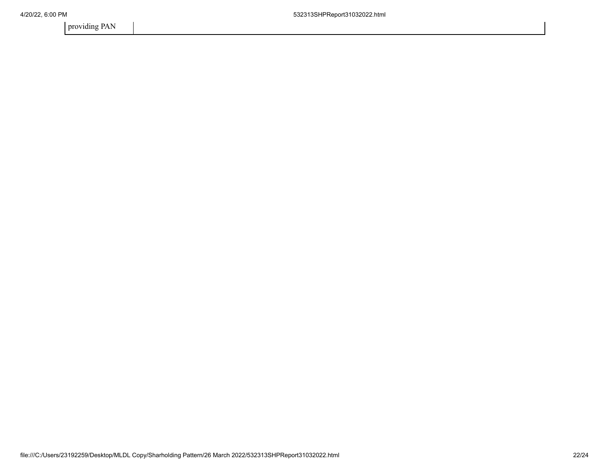providing PAN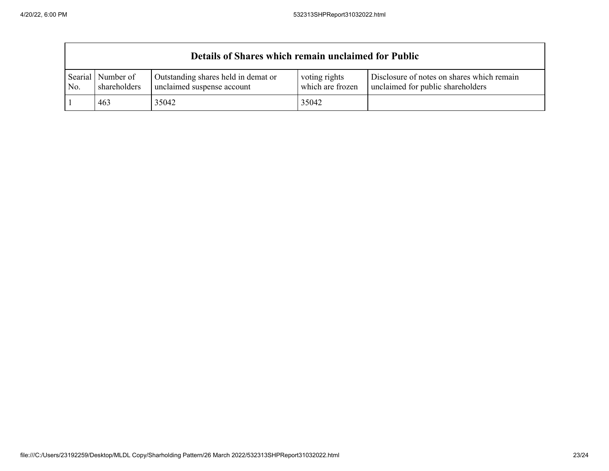$\mathsf{r}$ 

|                | Details of Shares which remain unclaimed for Public |                                                                   |                                   |                                                                                 |  |  |  |
|----------------|-----------------------------------------------------|-------------------------------------------------------------------|-----------------------------------|---------------------------------------------------------------------------------|--|--|--|
| Searial<br>No. | Number of<br>shareholders                           | Outstanding shares held in demat or<br>unclaimed suspense account | voting rights<br>which are frozen | Disclosure of notes on shares which remain<br>unclaimed for public shareholders |  |  |  |
|                | 463                                                 | 35042                                                             | 35042                             |                                                                                 |  |  |  |